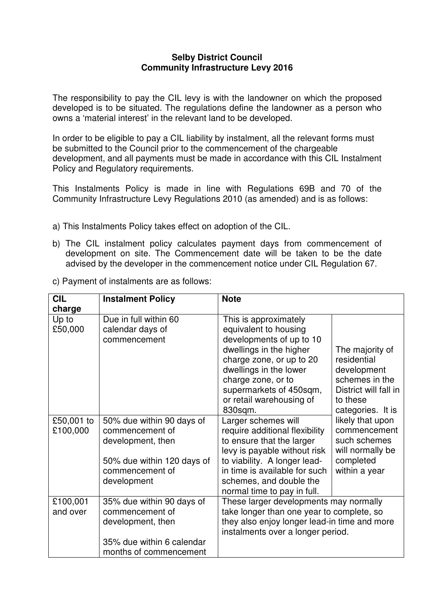## **Selby District Council Community Infrastructure Levy 2016**

The responsibility to pay the CIL levy is with the landowner on which the proposed developed is to be situated. The regulations define the landowner as a person who owns a 'material interest' in the relevant land to be developed.

In order to be eligible to pay a CIL liability by instalment, all the relevant forms must be submitted to the Council prior to the commencement of the chargeable development, and all payments must be made in accordance with this CIL Instalment Policy and Regulatory requirements.

This Instalments Policy is made in line with Regulations 69B and 70 of the Community Infrastructure Levy Regulations 2010 (as amended) and is as follows:

- a) This Instalments Policy takes effect on adoption of the CIL.
- b) The CIL instalment policy calculates payment days from commencement of development on site. The Commencement date will be taken to be the date advised by the developer in the commencement notice under CIL Regulation 67.
- c) Payment of instalments are as follows:

| <b>CIL</b>             | <b>Instalment Policy</b>                                                                                                          | <b>Note</b>                                                                                                                                                                                                                                         |                                                                                                                                                                                                                                 |
|------------------------|-----------------------------------------------------------------------------------------------------------------------------------|-----------------------------------------------------------------------------------------------------------------------------------------------------------------------------------------------------------------------------------------------------|---------------------------------------------------------------------------------------------------------------------------------------------------------------------------------------------------------------------------------|
| charge                 |                                                                                                                                   |                                                                                                                                                                                                                                                     |                                                                                                                                                                                                                                 |
| Up to<br>£50,000       | Due in full within 60<br>calendar days of<br>commencement                                                                         | This is approximately<br>equivalent to housing<br>developments of up to 10<br>dwellings in the higher<br>charge zone, or up to 20<br>dwellings in the lower<br>charge zone, or to<br>supermarkets of 450sqm,<br>or retail warehousing of<br>830sqm. | The majority of<br>residential<br>development<br>schemes in the<br>District will fall in<br>to these<br>categories. It is<br>likely that upon<br>commencement<br>such schemes<br>will normally be<br>completed<br>within a year |
| £50,001 to<br>£100,000 | 50% due within 90 days of<br>commencement of<br>development, then<br>50% due within 120 days of<br>commencement of<br>development | Larger schemes will<br>require additional flexibility<br>to ensure that the larger<br>levy is payable without risk<br>to viability. A longer lead-<br>in time is available for such<br>schemes, and double the<br>normal time to pay in full.       |                                                                                                                                                                                                                                 |
| £100,001<br>and over   | 35% due within 90 days of<br>commencement of<br>development, then<br>35% due within 6 calendar<br>months of commencement          | These larger developments may normally<br>take longer than one year to complete, so<br>they also enjoy longer lead-in time and more<br>instalments over a longer period.                                                                            |                                                                                                                                                                                                                                 |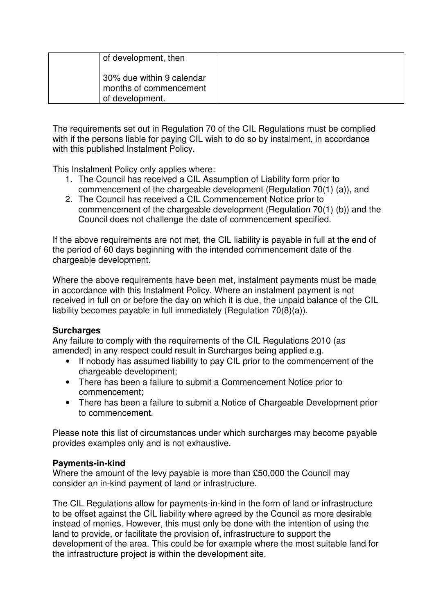| of development, then                                                   |  |
|------------------------------------------------------------------------|--|
| 30% due within 9 calendar<br>months of commencement<br>of development. |  |

The requirements set out in Regulation 70 of the CIL Regulations must be complied with if the persons liable for paying CIL wish to do so by instalment, in accordance with this published Instalment Policy.

This Instalment Policy only applies where:

- 1. The Council has received a CIL Assumption of Liability form prior to commencement of the chargeable development (Regulation 70(1) (a)), and
- 2. The Council has received a CIL Commencement Notice prior to commencement of the chargeable development (Regulation 70(1) (b)) and the Council does not challenge the date of commencement specified.

If the above requirements are not met, the CIL liability is payable in full at the end of the period of 60 days beginning with the intended commencement date of the chargeable development.

Where the above requirements have been met, instalment payments must be made in accordance with this Instalment Policy. Where an instalment payment is not received in full on or before the day on which it is due, the unpaid balance of the CIL liability becomes payable in full immediately (Regulation 70(8)(a)).

## **Surcharges**

Any failure to comply with the requirements of the CIL Regulations 2010 (as amended) in any respect could result in Surcharges being applied e.g.

- If nobody has assumed liability to pay CIL prior to the commencement of the chargeable development;
- There has been a failure to submit a Commencement Notice prior to commencement;
- There has been a failure to submit a Notice of Chargeable Development prior to commencement.

Please note this list of circumstances under which surcharges may become payable provides examples only and is not exhaustive.

## **Payments-in-kind**

Where the amount of the levy payable is more than £50,000 the Council may consider an in-kind payment of land or infrastructure.

The CIL Regulations allow for payments-in-kind in the form of land or infrastructure to be offset against the CIL liability where agreed by the Council as more desirable instead of monies. However, this must only be done with the intention of using the land to provide, or facilitate the provision of, infrastructure to support the development of the area. This could be for example where the most suitable land for the infrastructure project is within the development site.